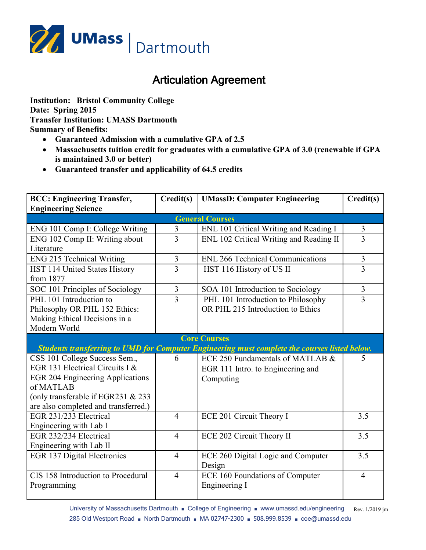

## Articulation Agreement

**Institution: Bristol Community College Date: Spring 2015 Transfer Institution: UMASS Dartmouth Summary of Benefits:**

- **Guaranteed Admission with a cumulative GPA of 2.5**
- **Massachusetts tuition credit for graduates with a cumulative GPA of 3.0 (renewable if GPA is maintained 3.0 or better)**
- **Guaranteed transfer and applicability of 64.5 credits**

| <b>BCC: Engineering Transfer,</b>                                                             | Credit(s)      | <b>UMassD: Computer Engineering</b>     | Credit(s)      |  |
|-----------------------------------------------------------------------------------------------|----------------|-----------------------------------------|----------------|--|
| <b>Engineering Science</b>                                                                    |                |                                         |                |  |
| <b>General Courses</b>                                                                        |                |                                         |                |  |
| ENG 101 Comp I: College Writing                                                               | $\overline{3}$ | ENL 101 Critical Writing and Reading I  | $\mathfrak{Z}$ |  |
| ENG 102 Comp II: Writing about                                                                | 3              | ENL 102 Critical Writing and Reading II | 3              |  |
| Literature                                                                                    |                |                                         |                |  |
| <b>ENG 215 Technical Writing</b>                                                              | 3              | <b>ENL 266 Technical Communications</b> | $\mathfrak{Z}$ |  |
| HST 114 United States History                                                                 | 3              | HST 116 History of US II                | 3              |  |
| from 1877                                                                                     |                |                                         |                |  |
| SOC 101 Principles of Sociology                                                               | $\overline{3}$ | SOA 101 Introduction to Sociology       | 3              |  |
| PHL 101 Introduction to                                                                       | $\overline{3}$ | PHL 101 Introduction to Philosophy      | $\overline{3}$ |  |
| Philosophy OR PHL 152 Ethics:                                                                 |                | OR PHL 215 Introduction to Ethics       |                |  |
| Making Ethical Decisions in a                                                                 |                |                                         |                |  |
| Modern World                                                                                  |                |                                         |                |  |
|                                                                                               |                | <b>Core Courses</b>                     |                |  |
| Students transferring to UMD for Computer Engineering must complete the courses listed below. |                |                                         |                |  |
| CSS 101 College Success Sem.,                                                                 | 6              | ECE 250 Fundamentals of MATLAB &        | 5              |  |
| EGR 131 Electrical Circuits I &                                                               |                | EGR 111 Intro. to Engineering and       |                |  |
| EGR 204 Engineering Applications                                                              |                | Computing                               |                |  |
| of MATLAB                                                                                     |                |                                         |                |  |
| (only transferable if EGR231 & 233                                                            |                |                                         |                |  |
| are also completed and transferred.)                                                          |                |                                         |                |  |
| EGR 231/233 Electrical                                                                        | $\overline{4}$ | ECE 201 Circuit Theory I                | 3.5            |  |
| Engineering with Lab I                                                                        |                |                                         |                |  |
| EGR 232/234 Electrical                                                                        | $\overline{4}$ | ECE 202 Circuit Theory II               | 3.5            |  |
| Engineering with Lab II                                                                       |                |                                         |                |  |
| <b>EGR 137 Digital Electronics</b>                                                            | $\overline{4}$ | ECE 260 Digital Logic and Computer      | 3.5            |  |
|                                                                                               |                | Design                                  |                |  |
| CIS 158 Introduction to Procedural                                                            | $\overline{4}$ | <b>ECE 160 Foundations of Computer</b>  | $\overline{4}$ |  |
| Programming                                                                                   |                | Engineering I                           |                |  |
|                                                                                               |                |                                         |                |  |

University of Massachusetts Dartmouth ■ College of Engineering ■ www.umassd.edu/engineering Rev. 1/2019 jm 285 Old Westport Road ■ North Dartmouth ■ MA 02747-2300 ■ 508.999.8539 ■ coe@umassd.edu